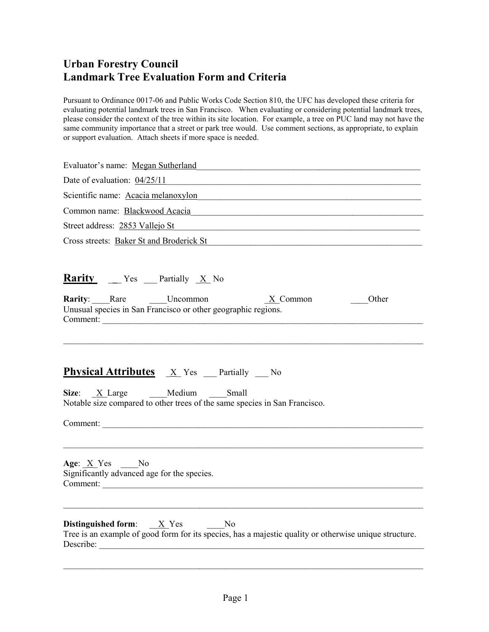Pursuant to Ordinance 0017-06 and Public Works Code Section 810, the UFC has developed these criteria for evaluating potential landmark trees in San Francisco. When evaluating or considering potential landmark trees, please consider the context of the tree within its site location. For example, a tree on PUC land may not have the same community importance that a street or park tree would. Use comment sections, as appropriate, to explain or support evaluation. Attach sheets if more space is needed.

| Evaluator's name: Megan Sutherland                                                                                                                                             |
|--------------------------------------------------------------------------------------------------------------------------------------------------------------------------------|
| Scientific name: Acacia melanoxylon                                                                                                                                            |
|                                                                                                                                                                                |
| Street address: 2853 Vallejo St                                                                                                                                                |
| Cross streets: Baker St and Broderick St Cross Contract Cross Streets: Baker St and Broderick St                                                                               |
| <b>Rarity</b> __ Yes __ Partially <u>X</u> No                                                                                                                                  |
| <b>Rarity</b> : Rare Uncommon <u>X</u> Common<br>Other<br>Unusual species in San Francisco or other geographic regions.                                                        |
| <b>Physical Attributes</b> $\underline{X}$ Yes Partially No<br>Size: <u>X</u> Large Medium Small<br>Notable size compared to other trees of the same species in San Francisco. |
| Comment:                                                                                                                                                                       |
| Age: $\underline{X}$ Yes No<br>Significantly advanced age for the species.                                                                                                     |
| <b>Distinguished form:</b> $X$ Yes No<br>Tree is an example of good form for its species, has a majestic quality or otherwise unique structure.<br>Describe:                   |

\_\_\_\_\_\_\_\_\_\_\_\_\_\_\_\_\_\_\_\_\_\_\_\_\_\_\_\_\_\_\_\_\_\_\_\_\_\_\_\_\_\_\_\_\_\_\_\_\_\_\_\_\_\_\_\_\_\_\_\_\_\_\_\_\_\_\_\_\_\_\_\_\_\_\_\_\_\_\_\_\_\_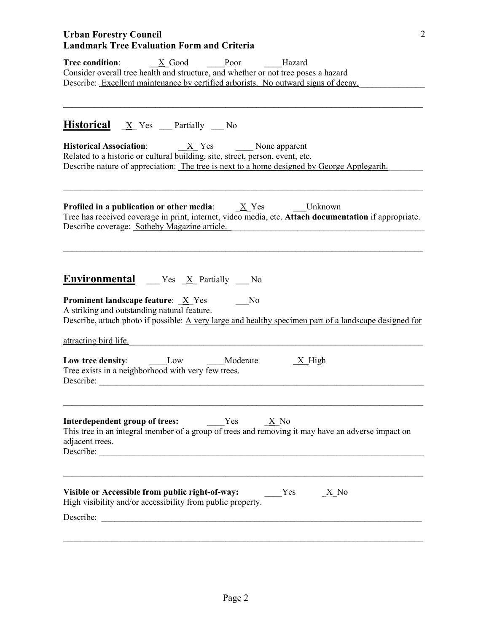| Tree condition: X Good Poor Hazard<br>Consider overall tree health and structure, and whether or not tree poses a hazard<br>Describe: Excellent maintenance by certified arborists. No outward signs of decay.                                                                                                                 |
|--------------------------------------------------------------------------------------------------------------------------------------------------------------------------------------------------------------------------------------------------------------------------------------------------------------------------------|
| <b>Historical</b> X Yes Partially No                                                                                                                                                                                                                                                                                           |
| <b>Historical Association:</b> $\underline{X}$ Yes None apparent<br>Related to a historic or cultural building, site, street, person, event, etc.<br>Describe nature of appreciation: The tree is next to a home designed by George Applegarth.                                                                                |
| <b>Profiled in a publication or other media:</b> $\underline{X}$ Yes ________Unknown<br>Tree has received coverage in print, internet, video media, etc. Attach documentation if appropriate.<br>Describe coverage: Sotheby Magazine article.                                                                                  |
| <b>Environmental</b> $\mathbb{Z}$ Yes $\mathbb{X}$ Partially $\mathbb{N}$ o<br><b>Prominent landscape feature:</b> $X$ Yes<br>N <sub>0</sub><br>A striking and outstanding natural feature.<br>Describe, attach photo if possible: A very large and healthy specimen part of a landscape designed for<br>attracting bird life. |
| Low tree density: Low Moderate<br>$X$ High<br>Tree exists in a neighborhood with very few trees.<br>Describe:                                                                                                                                                                                                                  |
| Interdependent group of trees:<br>Yes X No<br>This tree in an integral member of a group of trees and removing it may have an adverse impact on<br>adjacent trees.                                                                                                                                                             |
| Visible or Accessible from public right-of-way:<br>Yes<br>$\times$ No<br>High visibility and/or accessibility from public property.                                                                                                                                                                                            |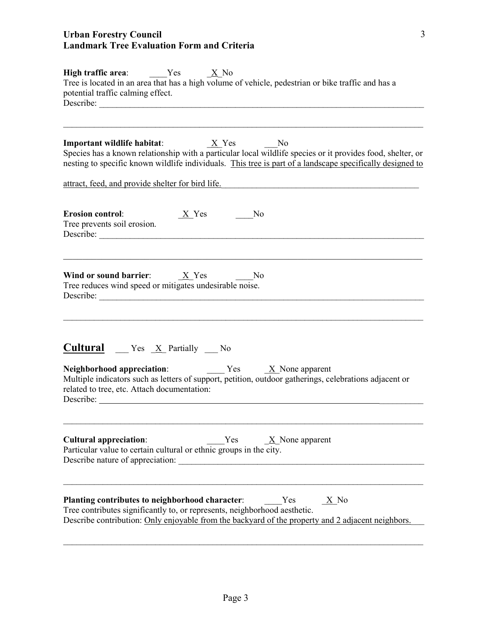| <b>High traffic area:</b> Yes $X \to N$<br>Tree is located in an area that has a high volume of vehicle, pedestrian or bike traffic and has a<br>potential traffic calming effect.                                                                                                             |
|------------------------------------------------------------------------------------------------------------------------------------------------------------------------------------------------------------------------------------------------------------------------------------------------|
| N <sub>0</sub><br>Species has a known relationship with a particular local wildlife species or it provides food, shelter, or<br>nesting to specific known wildlife individuals. This tree is part of a landscape specifically designed to<br>attract, feed, and provide shelter for bird life. |
| <b>Erosion control:</b><br>$X_Y$ es $\qquad \qquad \qquad$<br>No<br>Tree prevents soil erosion.<br>Describe:                                                                                                                                                                                   |
| Wind or sound barrier: $\underline{X}$ Yes ________No<br>Tree reduces wind speed or mitigates undesirable noise.<br>Describe:                                                                                                                                                                  |
| <b>Cultural</b> __ Yes <u>_X</u> _Partially __ No<br>Multiple indicators such as letters of support, petition, outdoor gatherings, celebrations adjacent or<br>related to tree, etc. Attach documentation:<br>Describe:                                                                        |
| <b>Cultural appreciation:</b><br>$\underline{X}$ None apparent<br>Yes<br>Particular value to certain cultural or ethnic groups in the city.                                                                                                                                                    |
| Planting contributes to neighborhood character:<br>Yes<br>$\times$ No<br>Tree contributes significantly to, or represents, neighborhood aesthetic.<br>Describe contribution: Only enjoyable from the backyard of the property and 2 adjacent neighbors.                                        |